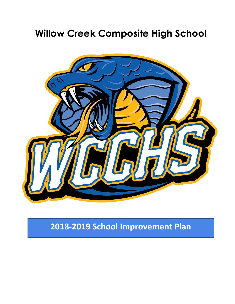# **Willow Creek Composite High School**



**2018-2019 School Improvement Plan**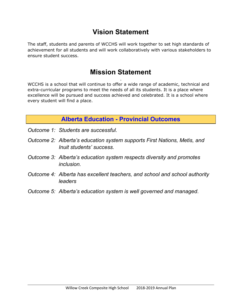# **Vision Statement**

The staff, students and parents of WCCHS will work together to set high standards of achievement for all students and will work collaboratively with various stakeholders to ensure student success.

# **Mission Statement**

**.** WCCHS is a school that will continue to offer a wide range of academic, technical and extra-curricular programs to meet the needs of all its students. It is a place where excellence will be pursued and success achieved and celebrated. It is a school where every student will find a place.

# **Alberta Education - Provincial Outcomes**

- *Outcome 1: Students are successful.*
- *Outcome 2: Alberta's education system supports First Nations, Metis, and Inuit students' success.*
- *Outcome 3: Alberta's education system respects diversity and promotes inclusion.*
- *Outcome 4: Alberta has excellent teachers, and school and school authority leaders*
- *Outcome 5: Alberta's education system is well governed and managed*.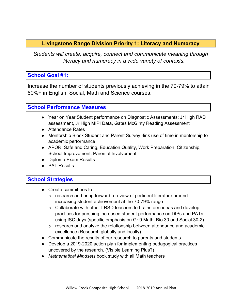## **Livingstone Range Division Priority 1: Literacy and Numeracy**

*Students will create, acquire, connect and communicate meaning through literacy and numeracy in a wide variety of contexts.*

#### **School Goal #1:**

Increase the number of students previously achieving in the 70-79% to attain 80%+ in English, Social, Math and Science courses.

#### **School Performance Measures**

- Year on Year Student performance on Diagnostic Assessments: Jr High RAD assessment, Jr High MIPI Data, Gates McGinty Reading Assessment
- Attendance Rates
- Mentorship Block Student and Parent Survey -link use of time in mentorship to academic performance
- APORI Safe and Caring, Education Quality, Work Preparation, Citizenship, School Improvement, Parental Involvement
- Diploma Exam Results
- PAT Results

#### **School Strategies**

- Create committees to
	- o research and bring forward a review of pertinent literature around increasing student achievement at the 70-79% range
	- $\circ$  Collaborate with other LRSD teachers to brainstorm ideas and develop practices for pursuing increased student performance on DIPs and PATs using ISC days (specific emphasis on Gr 9 Math, Bio 30 and Social 30-2)
	- o research and analyze the relationship between attendance and academic excellence (Research globally and locally).
- Communicate the results of our research to parents and students
- Develop a 2019-2020 action plan for implementing pedagogical practices uncovered by the research. (Visible Learning Plus?)
- *Mathematical Mindsets* book study with all Math teachers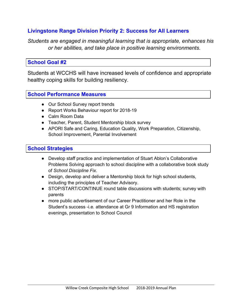## **Livingstone Range Division Priority 2: Success for All Learners**

*Students are engaged in meaningful learning that is appropriate, enhances his or her abilities, and take place in positive learning environments.*

#### **School Goal #2**

Students at WCCHS will have increased levels of confidence and appropriate healthy coping skills for building resiliency.

#### **School Performance Measures**

- Our School Survey report trends
- Report Works Behaviour report for 2018-19
- Calm Room Data
- Teacher, Parent, Student Mentorship block survey
- APORI Safe and Caring, Education Quality, Work Preparation, Citizenship, School Improvement, Parental Involvement

#### **School Strategies**

- Develop staff practice and implementation of Stuart Ablon's Collaborative Problems Solving approach to school discipline with a collaborative book study of *School Discipline Fix*.
- Design, develop and deliver a Mentorship block for high school students, including the principles of Teacher Advisory.
- STOP/START/CONTINUE round table discussions with students; survey with parents
- more public advertisement of our Career Practitioner and her Role in the Student's success -i.e. attendance at Gr 9 Information and HS registration evenings, presentation to School Council